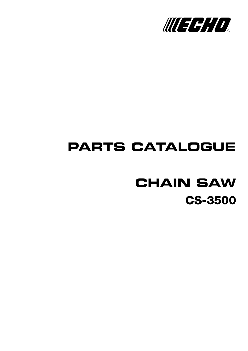

## **PARTS CATALOGUE**

# **CS-3500 CHAIN SAW**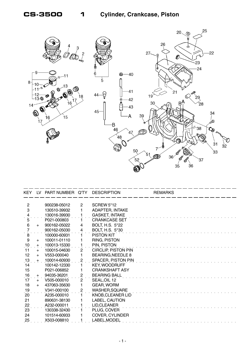

| LV. |              |                         | <b>DESCRIPTION</b>                        | <b>REMARKS</b>                              |  |
|-----|--------------|-------------------------|-------------------------------------------|---------------------------------------------|--|
|     |              |                         |                                           |                                             |  |
|     | 900238-05012 |                         |                                           |                                             |  |
|     | 130510-39932 |                         |                                           |                                             |  |
|     | 130016-39930 |                         | <b>GASKET, INTAKE</b>                     |                                             |  |
|     | P021-000803  |                         | <b>CRANKCASE SET</b>                      |                                             |  |
| $+$ | 900162-05022 | 4                       | BOLT, H.S. 5*22                           |                                             |  |
|     | 900162-05030 | 4                       | <b>BOLT, H.S. 5*30</b>                    |                                             |  |
|     | 100000-60931 |                         | PISTON KIT                                |                                             |  |
| $+$ | 100011-01110 |                         | RING, PISTON                              |                                             |  |
| $+$ | 100013-15330 |                         | PIN, PISTON                               |                                             |  |
| $+$ | 100015-04630 | $\overline{2}$          | <b>CIRCLIP, PISTON PIN</b>                |                                             |  |
| $+$ | V553-000040  | 1                       | <b>BEARING, NEEDLE 8</b>                  |                                             |  |
| $+$ | 100014-60930 | $\overline{c}$          | SPACER, PISTON PIN                        |                                             |  |
|     | 100142-12330 |                         | <b>KEY, WOODRUFF</b>                      |                                             |  |
|     | P021-006852  |                         | <b>CRANKSHAFT ASY</b>                     |                                             |  |
| $+$ | 94035-36201  | $\overline{\mathbf{c}}$ | <b>BEARING BALL</b>                       |                                             |  |
| $+$ | V505-000010  | $\overline{2}$          | SEAL, OIL 12                              |                                             |  |
| $+$ | 437063-35630 |                         | <b>GEAR, WORM</b>                         |                                             |  |
|     | V341-000100  | 2                       | <b>WASHER, SQUARE</b>                     |                                             |  |
|     | A235-000010  |                         | KNOB, CLEANER LID                         |                                             |  |
|     | 890631-38130 |                         | LABEL, CAUTION                            |                                             |  |
|     | A232-000011  |                         | LID, CLEANER                              |                                             |  |
|     | 130338-32430 |                         | PLUG, COVER                               |                                             |  |
|     | 101514-60933 |                         | <b>COVER, CYLINDER</b>                    |                                             |  |
|     | X503-008810  |                         | LABEL, MODEL                              |                                             |  |
|     |              |                         | PART NUMBER Q'TY<br>$\mathbf{2}^{\prime}$ | <b>SCREW 5*12</b><br><b>ADAPTER, INTAKE</b> |  |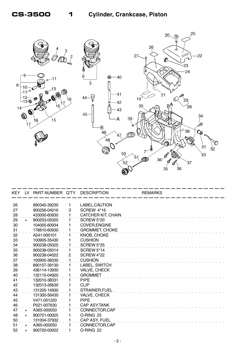

| KEY.    | LV. | PART NUMBER Q'TY |    | <b>DESCRIPTION</b>    | <b>REMARKS</b> |
|---------|-----|------------------|----|-----------------------|----------------|
| 26      |     | 890345-39230     | 1  | LABEL, CAUTION        |                |
| 27      |     | 900256-04016     | 3  | SCREW 4*16            |                |
| $^{28}$ |     | 433000-60930     |    | CATCHER KIT, CHAIN    |                |
| 29      | $+$ | 900253-05020     | 1. | <b>SCREW 5*20</b>     |                |
| 30      |     | 104005-60934     |    | <b>COVER, ENGINE</b>  |                |
| 31      |     | 178810-60930     |    | <b>GROMMET, CHOKE</b> |                |
| 32      |     | A241-000101      |    | KNOB, CHOKE           |                |
| 33      |     | 100905-35430     |    | <b>CUSHION</b>        |                |
| 34      |     | 900238-05025     |    | <b>SCREW 5*25</b>     |                |
| 35      |     | 900238-05014     | 1. | <b>SCREW 5*14</b>     |                |
| 36      |     | 900238-04022     | 2  | <b>SCREW 4*22</b>     |                |
| 37      |     | 100905-36030     |    | <b>CUSHION</b>        |                |
| 38      |     | 890157-39130     | 1  | LABEL, SWITCH         |                |
| 39      |     | 436114-13930     | 1  | VALVE, CHECK          |                |
| 40      |     | 132115-04920     |    | <b>GROMMET</b>        |                |
| 41      |     | 132010-38331     |    | <b>PIPE</b>           |                |
| 42      |     | 132013-26630     | 1  | <b>CLIP</b>           |                |
| 43      |     | 131205-14930     | 1  | <b>STRAINER, FUEL</b> |                |
| 44      |     | 131300-56430     |    | VALVE, CHECK          |                |
| 45      |     | V471-001220      |    | <b>PIPE</b>           |                |
| 46      |     | P021-007630      |    | <b>CAP ASY, TANK</b>  |                |
| 47      | $+$ | A365-000050      |    | CONNECTOR, CAP        |                |
| 48      | $+$ | 900721-00025     |    | O-RING 25             |                |
| 50      |     | 131004-37932     |    | CAP ASY, FUEL         |                |
| 51      | $+$ | A365-000050      |    | CONNECTOR, CAP        |                |
| 52      | $+$ | 900720-00022     | 1  | O-RING 22             |                |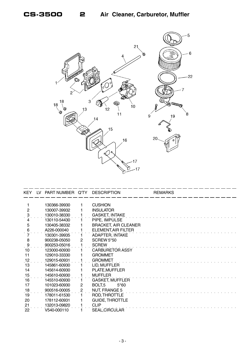

| KEY             | LV. | PART NUMBER Q'TY |                | <b>DESCRIPTION</b>          | <b>REMARKS</b> |
|-----------------|-----|------------------|----------------|-----------------------------|----------------|
|                 |     |                  |                |                             |                |
|                 |     | 130366-39930     |                | <b>CUSHION</b>              |                |
| $\mathbf{2}$    |     | 130007-39932     |                | <b>INSULATOR</b>            |                |
| $\ddot{3}$      |     | 130010-38330     |                | <b>GASKET, INTAKE</b>       |                |
|                 |     | 130110-54430     |                | PIPE, IMPULSE               |                |
| 5               |     | 130405-38332     |                | <b>BRACKET, AIR CLEANER</b> |                |
| 6               |     | A226-000040      |                | ELEMENT, AIR FILTER         |                |
|                 |     | 130301-39935     |                | ADAPTER, INTAKE             |                |
| 8               |     | 900238-05050     | $\mathbf{2}$   | <b>SCREW 5*50</b>           |                |
| $\frac{9}{1}$   |     | 900253-05016     |                | <b>SCREW</b>                |                |
| 10              |     | 123000-60930     |                | <b>CARBURETOR ASSY</b>      |                |
| 11              |     | 129010-33330     |                | <b>GROMMET</b>              |                |
| .12             |     | 129015-60931     |                | <b>GROMMET</b>              |                |
| 13              |     | 145861-60930     |                | LID, MUFFLER                |                |
| 14              |     | 145614-60930     |                | PLATE, MUFFLER              |                |
| 15              |     | 145610-60930     |                | <b>MUFFLER</b>              |                |
| 16              |     | 145510-60930     |                | GASKET, MUFFLER             |                |
| 17              |     | 101023-60930     | $\mathbf{2}$   | BOLT <sub>5</sub><br>$5*60$ |                |
|                 |     | 900516-00005     | $\overline{2}$ | <b>NUT, FRANGE 5</b>        |                |
| $\frac{18}{19}$ |     | 178011-61530     |                | ROD, THROTTLE               |                |
| 20              |     | 178112-60931     |                | <b>GUIDE, THROTTLE</b>      |                |
|                 |     | 132013-09820     |                | <b>CLIP</b>                 |                |
| $\frac{21}{22}$ |     | V540-000110      |                | SEAL, CIRCULAR              |                |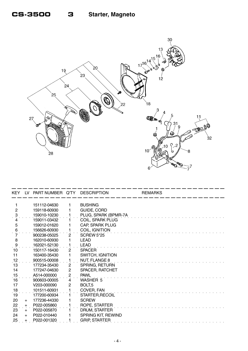

| KEY.            | LV  | PART NUMBER Q'TY |                | <b>DESCRIPTION</b>      | <b>REMARKS</b> |  |
|-----------------|-----|------------------|----------------|-------------------------|----------------|--|
|                 |     | 151112-04630     |                | <b>BUSHING</b>          |                |  |
| $\overline{2}$  |     | 159118-60930     |                | GUIDE, CORD             |                |  |
| $\ddot{\cdot}$  |     | 159010-10230     |                | PLUG, SPARK (BPMR-7A    |                |  |
|                 |     | 159011-03432     |                | COIL, SPARK PLUG        |                |  |
| 5               |     | 159012-01620     |                | CAP, SPARK PLUG         |                |  |
| 6               |     | 156626-60930     |                | COIL, IGNITION          |                |  |
|                 |     | 900238-05025     | $\overline{c}$ | SCREW 5*25              |                |  |
| 8               |     | 162010-60930     |                | <b>LEAD</b>             |                |  |
| $\ddot{\theta}$ |     | 162021-52130     |                | <b>LEAD</b>             |                |  |
| 10              |     | 150117-16430     | $\overline{2}$ | <b>SPACER</b>           |                |  |
| 11              |     | 163400-35430     |                | <b>SWITCH, IGNITION</b> |                |  |
| 12              |     | 900515-00008     |                | <b>NUT, FLANGE 8</b>    |                |  |
| 13              |     | 177234-35430     | $\overline{2}$ | <b>SPRING, RETURN</b>   |                |  |
| 14              |     | 177247-04630     | 2              | SPACER, RATCHET         |                |  |
| 15              |     | A514-000000      | 2              | <b>PAWL</b>             |                |  |
| 16              |     | 900603-00005     | 4              | <b>WASHER 5</b>         |                |  |
| 17              |     | V203-000090      | 2              | BOLT,5                  |                |  |
| 18              |     | 101511-60931     |                | COVER, FAN              |                |  |
| 19              |     | 177200-60934     |                | STARTER, RECOIL         |                |  |
| 20              | $+$ | 177236-44330     |                | <b>SCREW</b>            |                |  |
| 22              | $+$ | P022-005860      |                | ROPE, STARTER           |                |  |
| 23              | $+$ | P022-005870      |                | DRUM, STARTER           |                |  |
| 24              | $+$ | P022-010440      |                | SPRING KIT, REWIND      |                |  |
| 25              |     | P022-001320      |                | <b>GRIP, STARTER</b>    |                |  |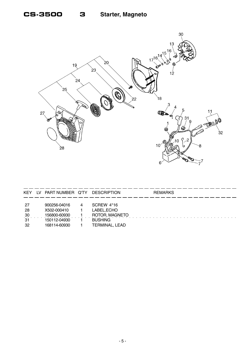3



| <b>KEY</b>     | 1V | PART NUMBER Q'TY |   | <b>DESCRIPTION</b> | <b>REMARKS</b> |
|----------------|----|------------------|---|--------------------|----------------|
|                |    |                  |   |                    |                |
| -27            |    | 900256-04016     | 4 | SCREW 4*16         |                |
| -28            |    | X502-000410      |   | LABEL, ECHO        |                |
| $\frac{30}{2}$ |    | 156800-60930     |   | ROTOR, MAGNETO     |                |
| 31             |    | 150112-04930     |   | <b>BUSHING</b>     |                |
| -32            |    | 168114-60930     |   | TERMINAL, LEAD     |                |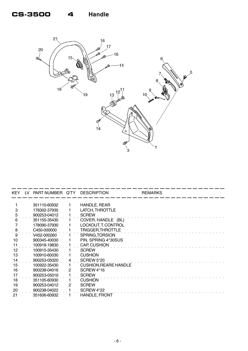

| KEY. | TV. | PART NUMBER Q'TY |   | <b>DESCRIPTION</b>           | <b>REMARKS</b> |
|------|-----|------------------|---|------------------------------|----------------|
|      |     | 351110-60932     |   |                              |                |
|      |     |                  |   | HANDLE, REAR                 |                |
| 3    |     | 178302-37930     |   | LATCH, THROTTLE              |                |
| 5    |     | 900253-04012     |   | <b>SCREW</b>                 |                |
|      |     | 351155-35430     |   | COVER, HANDLE (BL)           |                |
|      |     | 178090-37930     |   | LOCKOUT, T. CONTROL          |                |
| 8    |     | C450-000000      |   | TRIGGER, THROTTLE            |                |
| 9    |     | V452-000260      |   | SPRING, TORSION              |                |
| 10   |     | 900345-40030     |   | PIN, SPRING 4*30SUS          |                |
| 11   |     | 100918-19830     |   | CAP, CUSHION                 |                |
| 12   |     | 100915-35430     |   | <b>SCREW</b>                 |                |
| 13   |     | 100910-60030     |   | <b>CUSHION</b>               |                |
| 14   |     | 900253-05020     |   | <b>SCREW 5*20</b>            |                |
| 15   |     | 100922-35430     |   | <b>CUSHION, REARE HANDLE</b> |                |
| 16   |     | 900238-04016     | 2 | <b>SCREW 4*16</b>            |                |
| 17   |     | 900253-05016     |   | <b>SCREW</b>                 |                |
| 18   |     | 351105-60930     |   | <b>CUSHION</b>               |                |
| 19   |     | 900253-04012     | 2 | <b>SCREW</b>                 |                |
| 20   |     | 900238-04022     |   | <b>SCREW 4*22</b>            |                |
| 21   |     | 351606-60932     |   | <b>HANDLE, FRONT</b>         |                |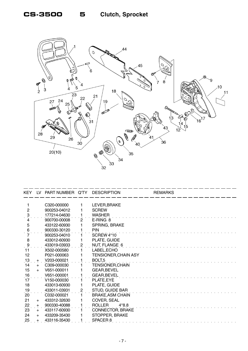### **CS-3500 5 Clutch, Sprocket**



| KEY.                | LV. | PART NUMBER Q'TY         |   | <b>DESCRIPTION</b>          | <b>REMARKS</b> |
|---------------------|-----|--------------------------|---|-----------------------------|----------------|
|                     |     |                          |   |                             |                |
|                     |     | C320-000000              |   | LEVER, BRAKE                |                |
| $\overline{2}$      |     | 900253-04012             |   | <b>SCREW</b>                |                |
| $\ddot{\mathbf{3}}$ |     | 177214-04630             |   | <b>WASHER</b>               |                |
|                     |     | 900700-00008             | 2 | E-RING 8                    |                |
| 5                   |     | 433122-60930             |   | SPRING, BRAKE               |                |
| 6                   |     | 900330-30120             |   | <b>PIN</b>                  |                |
|                     |     | 900253-04010             |   | SCREW 4*10                  |                |
| 8                   |     | 433012-60930             |   | PLATE, GUIDE                |                |
| $\ddot{\theta}$     |     | 433019-03933             | 2 | NUT, FLANGE 6               |                |
| $\overline{11}$     |     | X502-000580              |   | LABEL, ECHO                 |                |
| 12                  |     | P021-000063              |   | <b>TENSIONER, CHAIN ASY</b> |                |
| 13                  | $+$ | V203-000021              |   | BOLT <sub>,5</sub>          |                |
| 14                  | $+$ | C <sub>309</sub> -000030 |   | <b>TENSIONER, CHAIN</b>     |                |
| 15                  | $+$ | V651-000011              |   | GEAR, BEVEL                 |                |
| 16                  |     | V651-000001              |   | <b>GEAR, BEVEL</b>          |                |
| 17                  |     | V150-000030              |   | PLATE, EYE                  |                |
| 18                  |     | 433013-60930             |   | PLATE, GUIDE                |                |
| 19                  |     | 433011-03931             | 2 | <b>STUD, GUIDE BAR</b>      |                |
| 20                  |     | C032-000021              |   | <b>BRAKE, ASM CHAIN</b>     |                |
| 21                  | $+$ | 433312-32630             |   | COVER, SEAL                 |                |
| 22                  | $+$ | 900330-40088             |   | <b>ROLLER</b><br>$4*8.8$    |                |
| 23                  | $+$ | 433117-60930             |   | CONNECTOR, BRAKE            |                |
| 24                  | $+$ | 433209-35430             |   | STOPPER, BRAKE              |                |
| 25                  |     | 433116-35430             |   | SPACER <sub>8</sub>         |                |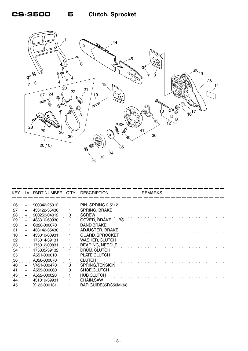## **CS-3500 5 Clutch, Sprocket**



| KEY.           | LV. | PART NUMBER Q'TY DESCRIPTION |   |                        | <b>REMARKS</b> |
|----------------|-----|------------------------------|---|------------------------|----------------|
|                |     |                              |   |                        |                |
| 26             | $+$ | 900342-25012                 |   | PIN, SPRING 2.5*12     |                |
| 27             | $+$ | 433122-35430                 |   | <b>SPRING, BRAKE</b>   |                |
| $^{28}$        | $+$ | 900253-04012                 | 3 | <b>SCREW</b>           |                |
| 29             | $+$ | 433310-60930                 |   | COVER, BRAKE<br>BS.    |                |
| 30             | $+$ | C328-000070                  |   | <b>BAND, BRAKE</b>     |                |
| 31             | $+$ | 433142-35430                 |   | <b>ADJUSTER, BRAKE</b> |                |
| 10             | $+$ | 433010-60931                 |   | <b>GUARD, SPROCKET</b> |                |
| 32             |     | 175014-39131                 |   | <b>WASHER, CLUTCH</b>  |                |
| 33             |     | 175012-00831                 |   | <b>BEARING, NEEDLE</b> |                |
| 34             |     | 175005-39132                 |   | DRUM, CLUTCH           |                |
| 35             |     | A551-000010                  |   | PLATE, CLUTCH          |                |
| $\frac{36}{5}$ |     | A056-000070                  |   | <b>CLUTCH</b>          |                |
| 40             | $+$ | V451-000470                  | 3 | SPRING, TENSION        |                |
| 41             | $+$ | A555-000060                  | 3 | SHOE, CLUTCH           |                |
| 43             | $+$ | A552-000020                  |   | <b>HUB, CLUTCH</b>     |                |
| 44             |     | 431019-39931                 |   | <b>CHAIN, SAW</b>      |                |
| 45             |     | X123-000131                  |   | BAR, GUIDE35RC50M-3/8  |                |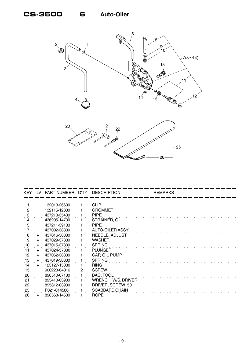



| <b>KEY</b>     | I V | PART NUMBER Q'TY |   | <b>DESCRIPTION</b>     | <b>REMARKS</b> |
|----------------|-----|------------------|---|------------------------|----------------|
|                |     |                  |   |                        |                |
|                |     | 132013-26630     |   | <b>CLIP</b>            |                |
| $\overline{2}$ |     | 132115-12330     |   | <b>GROMMET</b>         |                |
|                |     | 437210-35430     |   | <b>PIPE</b>            |                |
|                |     | 436205-14730     |   | STRAINER, OIL          |                |
| 5              |     | 437211-39133     |   | <b>PIPE</b>            |                |
|                |     | 437002-38330     |   | <b>AUTO-OILER ASSY</b> |                |
| 8              | $+$ | 437016-38330     |   | NEEDLE, ADJUST         |                |
| 9              | $+$ | 437029-37330     |   | <b>WASHER</b>          |                |
| 10             | $+$ | 437015-37330     |   | <b>SPRING</b>          |                |
| 11             | $+$ | 437024-37330     |   | <b>PLUNGER</b>         |                |
| 12             | $+$ | 437062-38330     |   | CAP, OIL PUMP          |                |
| 13             | $+$ | 437019-38330     |   | <b>SPRING</b>          |                |
| 14             | $+$ | 123127-15030     |   | <b>RING</b>            |                |
| 15             |     | 900223-04016     | 2 | <b>SCREW</b>           |                |
| 20             |     | 898510-07130     |   | <b>BAG, TOOL</b>       |                |
| 21             |     | 895410-03930     |   | WRENCH, W/S. DRIVER    |                |
| 22             |     | 895812-03930     |   | DRIVER, SCREW 50       |                |
| 25             |     | P021-014580      |   | SCABBARD, CHAIN        |                |
| 26             |     | 898568-14530     |   | <b>ROPE</b>            |                |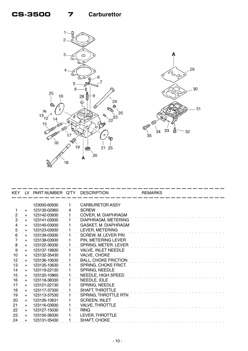

29

30

 $31$ 

 $-32$ 

| KEY LV                  |           | PART NUMBER Q'TY DESCRIPTION |              |                             | <b>REMARKS</b> |  |
|-------------------------|-----------|------------------------------|--------------|-----------------------------|----------------|--|
|                         |           |                              |              |                             |                |  |
|                         |           | 123000-60930                 | 1.           | <b>CARBURETOR ASSY</b>      |                |  |
|                         | $+$       | 123130-02960                 | 4            | <b>SCREW</b>                |                |  |
| $\ddot{c}$              | $+$       | 123142-03930                 |              | COVER, M. DIAPHRAGM         |                |  |
| 3                       | $+$       | 123141-03930                 | 1.           | DIAPHRAGM, METERING         |                |  |
| $\overline{\mathbf{4}}$ | $+$       | 123140-03930                 | 1            | GASKET, M. DIAPHRAGM        |                |  |
| $\frac{5}{6}$           | $+$       | 123123-03930                 | 1            | LEVER, METERING             |                |  |
|                         | $+$       | 123139-03930                 | $\mathbf{1}$ | SCREW, M. LEVER PIN         |                |  |
| $\overline{7}$          | $+$       | 123138-03930                 | 1            | PIN, METERING LEVER         |                |  |
| $\dot{9}$               | $\ddot{}$ | 123122-39330                 |              | SPRING, METER. LEVER        |                |  |
| 9                       | $+$       | 123137-19830                 | $\mathbf{1}$ | VALVE, INLET NEEDLE         |                |  |
| 10                      | $+$       | 123132-35430                 | 1            | VALVE, CHOKE                |                |  |
| 12                      | $+$       | 123136-10630                 |              | <b>BALL, CHOKE FRICTION</b> |                |  |
| 13                      | $+$       | 123135-10630                 | 1            | SPRING, CHOKE FRICT.        |                |  |
| 14                      | $+$       | 123119-22130                 | 1            | SPRING, NEEDLE              |                |  |
| 15                      | $+$       | 123120-10860                 | 1            | NEEDLE, HIGH SPEED          |                |  |
| 16                      | $+$       | 123118-38330                 | 1            | NEEDLE, IDLE                |                |  |
| 17                      | $+$       | 123121-22130                 | 1            | SPRING, NEEDLE              |                |  |
| 18                      | $+$       | 123117-37330                 | 1            | SHAFT, THROTTLE             |                |  |
| 19                      | $+$       | 123113-37530                 | $\mathbf{1}$ | SPRING, THROTTLE RTN        |                |  |
| 20                      | $+$       | 123126-10631                 | 1            | <b>SCREEN, INLET</b>        |                |  |
| 21                      | $+$       | 123116-03930                 |              | <b>VALVE, THROTTLE</b>      |                |  |
| 22                      | $+$       | 123127-15030                 | 1.           | <b>RING</b>                 |                |  |
| 23                      | $+$       | 123150-38330                 | 1            | LEVER, THROTTLE             |                |  |
| .24                     |           | 123131-35430                 |              | SHAFT, CHOKE                |                |  |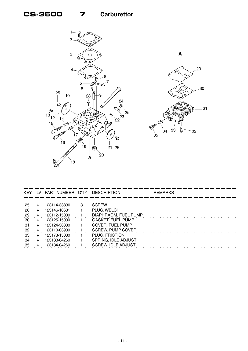

| KEY.    |     | LV PART NUMBER Q'TY |   | DESCRIPTION               | <b>REMARKS</b> |
|---------|-----|---------------------|---|---------------------------|----------------|
|         |     |                     |   |                           |                |
| -25     |     | 123114-38830        | 3 | <b>SCREW</b>              |                |
| -28     |     | 123146-10631        |   | PLUG, WELCH               |                |
| $^{29}$ |     | 123112-15030        |   | DIAPHRAGM, FUEL PUMP      |                |
| 30      | $+$ | 123125-15030        |   | <b>GASKET, FUEL PUMP</b>  |                |
| -31     | $+$ | 123124-38330        |   | COVER, FUEL PUMP          |                |
| 32      |     | 123110-03930        |   | <b>SCREW, PUMP COVER</b>  |                |
| 33      |     | 123178-15030        |   | PLUG, FRICTION            |                |
| 34      | $+$ | 123133-04260        |   | SPRING, IDLE ADJUST       |                |
| 35      |     | 123134-04260        |   | <b>SCREW, IDLE ADJUST</b> |                |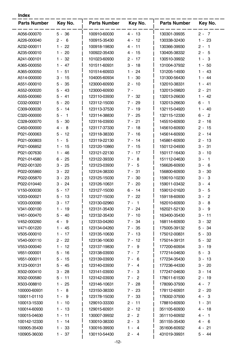| ×<br>×<br>۰. |
|--------------|
|--------------|

| Parts Number Key No. |          | <b>Parts Number</b> | Key No.  | <b>Parts Number</b> | Key No.                 |
|----------------------|----------|---------------------|----------|---------------------|-------------------------|
| A056-000070          | $5 - 36$ | 100910-60030        | $4 - 13$ | 130301-39935        | $2 - 7$                 |
| A226-000040          | $2 - 6$  | 100915-35430        | $4 - 12$ | 130338-32430        | $1 - 23$                |
| A232-000011          | $1 - 22$ | 100918-19830        | 4 - 11   | 130366-39930        | $2 - 1$                 |
| A235-000010          | $1 - 20$ | 100922-35430        | $4 - 15$ | 130405-38332        | $2 - 5$                 |
| A241-000101          | $1 - 32$ | 101023-60930        | $2 - 17$ | 130510-39932        | $1 - 3$                 |
| A365-000050          | $1 - 47$ | 101511-60931        | $3 - 18$ | 131004-37932        | $1 - 50$                |
| A365-000050          | $1 - 51$ | 101514-60933        | $1 - 24$ | 131205-14930        | $1 - 43$                |
| A514-000000          | $3 - 15$ | 104005-60934        | $1 - 30$ | 131300-56430        | $1 - 44$                |
| A551-000010          | $5 - 35$ | 123000-60930        | $2 - 10$ | 132010-38331        | $1 - 41$                |
| A552-000020          | $5 - 43$ | 123000-60930        | $7 -$    | 132013-09820        | $2 - 21$                |
| A555-000060          | $5 - 41$ | 123110-03930        | $7 - 32$ | 132013-26630        | $1 - 42$                |
| C032-000021          | $5 - 20$ | 123112-15030        | $7 - 29$ | 132013-26630        | $6 - 1$                 |
| C309-000030          | $5 - 14$ | 123113-37530        | $7 - 19$ | 132115-04920        | $1 - 40$                |
| C320-000000          | $5 - 1$  | 123114-38830        | 7 - 25   | 132115-12330        | $6 -$<br>$\overline{2}$ |
| C328-000070          | $5 - 30$ | 123116-03930        | $7 - 21$ | 145510-60930        | $2 - 16$                |
| C450-000000          | $4 - 8$  | 123117-37330        | $7 - 18$ | 145610-60930        | $2 - 15$                |
| P021-000063          | $5 - 12$ | 123118-38330        | $7 - 16$ | 145614-60930        | $2 - 14$                |
| P021-000803          | $1 - 5$  | 123119-22130        | $7 - 14$ | 145861-60930        | $2 - 13$                |
| P021-006852          | $1 - 15$ | 123120-10860        | $7 - 15$ | 150112-04930        | $3 - 31$                |
| P021-007630          | $1 - 46$ | 123121-22130        | $7 - 17$ | 150117-16430        | $3 - 10$                |
| P021-014580          | $6 - 25$ | 123122-39330        | $7 - 8$  | 151112-04630        | $3 - 1$                 |
| P022-001320          | $3 - 25$ | 123123-03930        | $7 - 5$  | 156626-60930        | $3 -$<br>- 6            |
| P022-005860          | $3 - 22$ | 123124-38330        | 7 - 31   | 156800-60930        | $3 -$<br>30             |
| P022-005870          | $3 - 23$ | 123125-15030        | $7 - 30$ | 159010-10230        | -3<br>$3 -$             |
| P022-010440          | $3 - 24$ | 123126-10631        | $7 - 20$ | 159011-03432        | $3 - 4$                 |
| V150-000030          | $5 - 17$ | 123127-15030        | $6 - 14$ | 159012-01620        | $3 - 5$                 |
| V203-000021          | $5 - 13$ | 123127-15030        | $7 - 22$ | 159118-60930        | $3 - 2$                 |
| V203-000090          | $3 - 17$ | 123130-02960        | 7 - 1    | 162010-60930        | 3 -<br>- 8              |
| V341-000100          | $1 - 19$ | 123131-35430        | 7 - 24   | 162021-52130        | $3 - 9$                 |
| V451-000470          | $5 - 40$ | 123132-35430        | $7 - 10$ | 163400-35430        | $3 - 11$                |
| V452-000260          | $4 - 9$  | 123133-04260        | $7 - 34$ | 168114-60930        | $3 - 32$                |
| V471-001220          | $1 - 45$ | 123134-04260        | $7 - 35$ | 175005-39132        | $5 - 34$                |
| V505-000010          | $1 - 17$ | 123135-10630        | $7 - 13$ | 175012-00831        | $5 - 33$                |
| V540-000110          | $2 - 22$ | 123136-10630        | 7 - 12   | 175014-39131        | $5 - 32$                |
| V553-000040          | $1 - 12$ | 123137-19830        | $7 - 9$  | 177200-60934        | $3 - 19$                |
| V651-000001          | $5 - 16$ | 123138-03930        | $7 - 7$  | 177214-04630        | $5 - 3$                 |
| V651-000011          | $5 - 15$ | 123139-03930        | 7 - 6    | 177234-35430        | $3 - 13$                |
| X123-000131          | $5 - 45$ | 123140-03930        | $7 - 4$  | 177236-44330        | $3 - 20$                |
| X502-000410          | $3 - 28$ | 123141-03930        | $7 - 3$  | 177247-04630        | $3 - 14$                |
| X502-000580          | $5 - 11$ | 123142-03930        | $7 - 2$  | 178011-61530        | $2 - 19$                |
| X503-008810          | $1 - 25$ | 123146-10631        | 7 - 28   | 178090-37930        | $4 - 7$                 |
| 100000-60931         | $1 - 8$  | 123150-38330        | 7 - 23   | 178112-60931        | $2 - 20$                |
| 100011-01110         | $1 - 9$  | 123178-15030        | 7 - 33   | 178302-37930        | $4 - 3$                 |
| 100013-15330         | $1 - 10$ | 129010-33330        | $2 - 11$ | 178810-60930        | 1 - 31                  |
| 100014-60930         | $1 - 13$ | 129015-60931        | $2 - 12$ | 351105-60930        | 4 - 18                  |
| 100015-04630         | $1 - 11$ | 130007-39932        | $2 - 2$  | 351110-60932        | $4 - 1$                 |
| 100142-12330         | $1 - 14$ | 130010-38330        | $2 - 3$  | 351155-35430        | $4 - 6$                 |
| 100905-35430         | 1 - 33   | 130016-39930        | $1 - 4$  | 351606-60932        | 4 - 21                  |
| 100905-36030         | $1 - 37$ | 130110-54430        | $2 - 4$  | 431019-39931        | $5 - 44$                |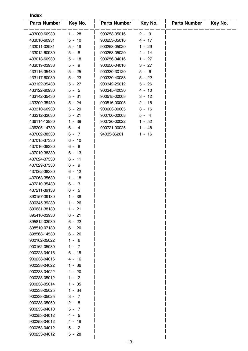| <b>Index</b>                 |                     |                     |          |                     |         |  |  |  |
|------------------------------|---------------------|---------------------|----------|---------------------|---------|--|--|--|
| <b>Parts Number</b>          | Key No.             | <b>Parts Number</b> | Key No.  | <b>Parts Number</b> | Key No. |  |  |  |
| 433000-60930                 | $1 - 28$            | 900253-05016        | $2 - 9$  |                     |         |  |  |  |
| 433010-60931                 | $5 - 10$            | 900253-05016        | $4 - 17$ |                     |         |  |  |  |
| 433011-03931                 | $5 - 19$            | 900253-05020        | 1 - 29   |                     |         |  |  |  |
| 433012-60930                 | $5 - 8$             | 900253-05020        | $4 - 14$ |                     |         |  |  |  |
| 433013-60930                 | $5 - 18$            | 900256-04016        | $1 - 27$ |                     |         |  |  |  |
| 433019-03933                 | $5 - 9$             | 900256-04016        | $3 - 27$ |                     |         |  |  |  |
| 433116-35430                 | $5 - 25$            | 900330-30120        | $5 - 6$  |                     |         |  |  |  |
| 433117-60930                 | $5 - 23$            | 900330-40088        | $5 - 22$ |                     |         |  |  |  |
| 433122-35430                 | $5 - 27$            | 900342-25012        | $5 - 26$ |                     |         |  |  |  |
| 433122-60930                 | $5 - 5$             | 900345-40030        | $4 - 10$ |                     |         |  |  |  |
| 433142-35430                 | $5 - 31$            | 900515-00008        | $3 - 12$ |                     |         |  |  |  |
| 433209-35430                 | $5 - 24$            | 900516-00005        | $2 - 18$ |                     |         |  |  |  |
| 433310-60930                 | $5 - 29$            | 900603-00005        | $3 - 16$ |                     |         |  |  |  |
| 433312-32630                 | $5 - 21$            | 900700-00008        | $5 - 4$  |                     |         |  |  |  |
| 436114-13930                 | 39<br>$1 -$         | 900720-00022        | $1 - 52$ |                     |         |  |  |  |
| 436205-14730                 | $6 - 4$             | 900721-00025        | $1 - 48$ |                     |         |  |  |  |
| 437002-38330                 | $6 -$<br>- 7        | 94035-36201         | $1 - 16$ |                     |         |  |  |  |
| 437015-37330                 | $6 - 10$            |                     |          |                     |         |  |  |  |
| 437016-38330                 | $6 -$<br>- 8        |                     |          |                     |         |  |  |  |
| 437019-38330                 | $6 - 13$            |                     |          |                     |         |  |  |  |
| 437024-37330                 | $6 - 11$            |                     |          |                     |         |  |  |  |
| 437029-37330                 | $6 -$<br>- 9        |                     |          |                     |         |  |  |  |
| 437062-38330                 | $6 - 12$            |                     |          |                     |         |  |  |  |
| 437063-35630                 | $1 - 18$            |                     |          |                     |         |  |  |  |
| 437210-35430                 | $6 -$<br>3          |                     |          |                     |         |  |  |  |
| 437211-39133                 | $6 -$<br>- 5        |                     |          |                     |         |  |  |  |
| 890157-39130                 | $1 - 38$            |                     |          |                     |         |  |  |  |
| 890345-39230                 | 1 - 26              |                     |          |                     |         |  |  |  |
| 890631-38130                 | $1 - 21$            |                     |          |                     |         |  |  |  |
| 895410-03930                 | $6 - 21$            |                     |          |                     |         |  |  |  |
| 895812-03930                 | $6 - 22$            |                     |          |                     |         |  |  |  |
| 898510-07130                 | $6 - 20$            |                     |          |                     |         |  |  |  |
| 898568-14530                 | $6 - 26$            |                     |          |                     |         |  |  |  |
| 900162-05022                 | $1 - 6$             |                     |          |                     |         |  |  |  |
| 900162-05030                 | $1 - 7$             |                     |          |                     |         |  |  |  |
| 900223-04016                 | $6 - 15$            |                     |          |                     |         |  |  |  |
| 900238-04016                 | 4 - 16              |                     |          |                     |         |  |  |  |
| 900238-04022                 | 1 - 36              |                     |          |                     |         |  |  |  |
| 900238-04022                 | 4 - 20              |                     |          |                     |         |  |  |  |
| 900238-05012                 | $1 - 2$             |                     |          |                     |         |  |  |  |
| 900238-05014                 | 1 - 35              |                     |          |                     |         |  |  |  |
| 900238-05025<br>900238-05025 | $1 - 34$<br>$3 - 7$ |                     |          |                     |         |  |  |  |
| 900238-05050                 | $2 - 8$             |                     |          |                     |         |  |  |  |
| 900253-04010                 | $5 - 7$             |                     |          |                     |         |  |  |  |
| 900253-04012                 | $4 - 5$             |                     |          |                     |         |  |  |  |
| 900253-04012                 | $4 - 19$            |                     |          |                     |         |  |  |  |
| 900253-04012                 | $5 - 2$             |                     |          |                     |         |  |  |  |
| 900253-04012                 | $5 - 28$            |                     |          |                     |         |  |  |  |
|                              |                     |                     |          |                     |         |  |  |  |